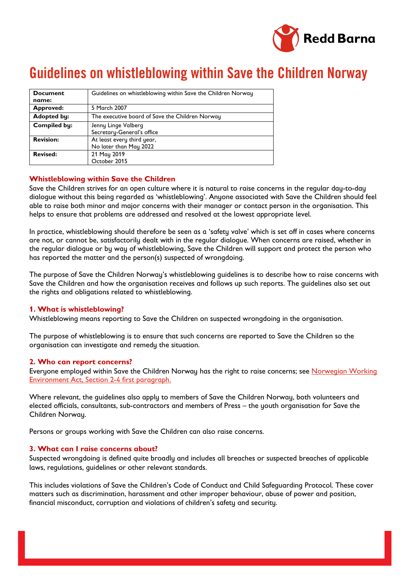

# Guidelines on whistleblowing within Save the Children Norway

| <b>Document</b>     | Guidelines on whistleblowing within Save the Children Norway |
|---------------------|--------------------------------------------------------------|
| name:               |                                                              |
| Approved:           | 5 March 2007                                                 |
| <b>Adopted by:</b>  | The executive board of Save the Children Norway              |
| <b>Compiled by:</b> | Jenny Linge Valberg<br>Secretary-General's office            |
| <b>Revision:</b>    | At least every third year,<br>No later than May 2022         |
| <b>Revised:</b>     | 21 May 2019<br>October 2015                                  |

# **Whistleblowing within Save the Children**

Save the Children strives for an open culture where it is natural to raise concerns in the regular day-to-day dialogue without this being regarded as 'whistleblowing'. Anyone associated with Save the Children should feel able to raise both minor and major concerns with their manager or contact person in the organisation. This helps to ensure that problems are addressed and resolved at the lowest appropriate level.

In practice, whistleblowing should therefore be seen as a 'safety valve' which is set off in cases where concerns are not, or cannot be, satisfactorily dealt with in the regular dialogue. When concerns are raised, whether in the regular dialogue or by way of whistleblowing, Save the Children will support and protect the person who has reported the matter and the person(s) suspected of wrongdoing.

The purpose of Save the Children Norway's whistleblowing guidelines is to describe how to raise concerns with Save the Children and how the organisation receives and follows up such reports. The guidelines also set out the rights and obligations related to whistleblowing.

# **1. What is whistleblowing?**

Whistleblowing means reporting to Save the Children on suspected wrongdoing in the organisation.

The purpose of whistleblowing is to ensure that such concerns are reported to Save the Children so the organisation can investigate and remedy the situation.

# **2. Who can report concerns?**

Everyone employed within Save the Children Norway has the right to raise concerns; see [Norwegian Working](https://lovdata.no/dokument/NL/lov/2005-06-17-62#KAPITTEL_2)  [Environment Act, Section 2-4 first paragraph.](https://lovdata.no/dokument/NL/lov/2005-06-17-62#KAPITTEL_2)

Where relevant, the guidelines also apply to members of Save the Children Norway, both volunteers and elected officials, consultants, sub-contractors and members of Press – the youth organisation for Save the Children Norway.

Persons or groups working with Save the Children can also raise concerns.

# **3. What can I raise concerns about?**

Suspected wrongdoing is defined quite broadly and includes all breaches or suspected breaches of applicable laws, regulations, guidelines or other relevant standards.

This includes violations of Save the Children's Code of Conduct and Child Safeguarding Protocol. These cover matters such as discrimination, harassment and other improper behaviour, abuse of power and position, financial misconduct, corruption and violations of children's safety and security.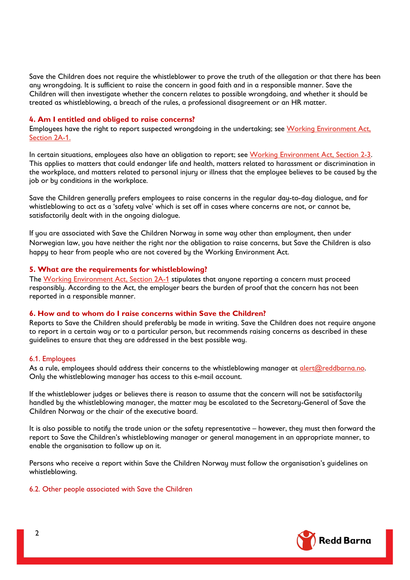Save the Children does not require the whistleblower to prove the truth of the allegation or that there has been any wrongdoing. It is sufficient to raise the concern in good faith and in a responsible manner. Save the Children will then investigate whether the concern relates to possible wrongdoing, and whether it should be treated as whistleblowing, a breach of the rules, a professional disagreement or an HR matter.

## **4. Am I entitled and obliged to raise concerns?**

Employees have the right to report suspected wrongdoing in the undertaking; see [Working Environment Act,](https://lovdata.no/dokument/NL/lov/2005-06-17-62#KAPITTEL_2)  [Section 2A-1.](https://lovdata.no/dokument/NL/lov/2005-06-17-62#KAPITTEL_2)

In certain situations, employees also have an obligation to report; see [Working Environment Act, Section 2-3.](https://lovdata.no/dokument/NL/lov/2005-06-17-62#KAPITTEL_2)  This applies to matters that could endanger life and health, matters related to harassment or discrimination in the workplace, and matters related to personal injury or illness that the employee believes to be caused by the job or by conditions in the workplace.

Save the Children generally prefers employees to raise concerns in the regular day-to-day dialogue, and for whistleblowing to act as a 'safety valve' which is set off in cases where concerns are not, or cannot be, satisfactorily dealt with in the ongoing dialogue.

If you are associated with Save the Children Norway in some way other than employment, then under Norwegian law, you have neither the right nor the obligation to raise concerns, but Save the Children is also happy to hear from people who are not covered by the Working Environment Act.

## **5. What are the requirements for whistleblowing?**

The [Working Environment Act,](https://lovdata.no/dokument/NL/lov/2005-06-17-62#KAPITTEL_2) Section 2A-1 stipulates that anyone reporting a concern must proceed responsibly. According to the Act, the employer bears the burden of proof that the concern has not been reported in a responsible manner.

## **6. How and to whom do I raise concerns within Save the Children?**

Reports to Save the Children should preferably be made in writing. Save the Children does not require anyone to report in a certain way or to a particular person, but recommends raising concerns as described in these guidelines to ensure that they are addressed in the best possible way.

#### 6.1. Employees

As a rule, employees should address their concerns to the whistleblowing manager at alert@reddbarna.no. Only the whistleblowing manager has access to this e-mail account.

If the whistleblower judges or believes there is reason to assume that the concern will not be satisfactorily handled by the whistleblowing manager, the matter may be escalated to the Secretary-General of Save the Children Norway or the chair of the executive board.

It is also possible to notify the trade union or the safety representative – however, they must then forward the report to Save the Children's whistleblowing manager or general management in an appropriate manner, to enable the organisation to follow up on it.

Persons who receive a report within Save the Children Norway must follow the organisation's guidelines on whistleblowing.

6.2. Other people associated with Save the Children

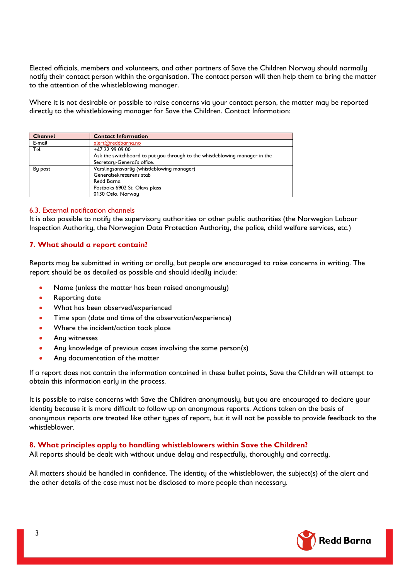Elected officials, members and volunteers, and other partners of Save the Children Norway should normally notify their contact person within the organisation. The contact person will then help them to bring the matter to the attention of the whistleblowing manager.

Where it is not desirable or possible to raise concerns via your contact person, the matter may be reported directly to the whistleblowing manager for Save the Children. Contact Information:

| <b>Channel</b> | <b>Contact Information</b>                                                  |
|----------------|-----------------------------------------------------------------------------|
| E-mail         | alert@reddbarna.no                                                          |
| Tel.           | +47 22 99 09 00                                                             |
|                | Ask the switchboard to put you through to the whistleblowing manager in the |
|                | Secretary-General's office.                                                 |
| By post        | Varslingsansvarlig (whistleblowing manager)                                 |
|                | Generalsekretærens stab                                                     |
|                | <b>Redd Barna</b>                                                           |
|                | Postboks 6902 St. Olavs plass                                               |
|                | 0130 Oslo, Norway                                                           |

# 6.3. External notification channels

It is also possible to notify the supervisory authorities or other public authorities (the Norwegian Labour Inspection Authority, the Norwegian Data Protection Authority, the police, child welfare services, etc.)

# **7. What should a report contain?**

Reports may be submitted in writing or orally, but people are encouraged to raise concerns in writing. The report should be as detailed as possible and should ideally include:

- Name (unless the matter has been raised anonymously)
- Reporting date
- What has been observed/experienced
- Time span (date and time of the observation/experience)
- Where the incident/action took place
- Any witnesses
- Any knowledge of previous cases involving the same person(s)
- Any documentation of the matter

If a report does not contain the information contained in these bullet points, Save the Children will attempt to obtain this information early in the process.

It is possible to raise concerns with Save the Children anonymously, but you are encouraged to declare your identity because it is more difficult to follow up on anonymous reports. Actions taken on the basis of anonymous reports are treated like other types of report, but it will not be possible to provide feedback to the whistleblower.

# **8. What principles apply to handling whistleblowers within Save the Children?**

All reports should be dealt with without undue delay and respectfully, thoroughly and correctly.

All matters should be handled in confidence. The identity of the whistleblower, the subject(s) of the alert and the other details of the case must not be disclosed to more people than necessary.

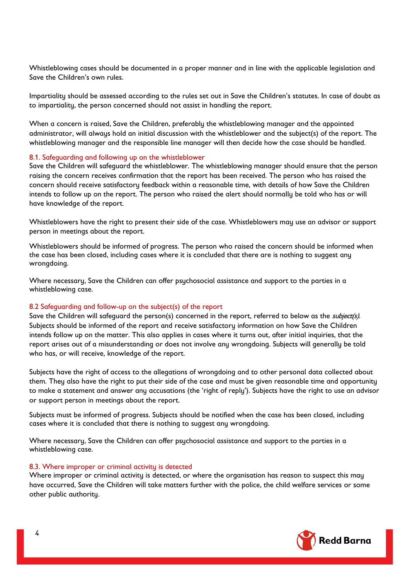Whistleblowing cases should be documented in a proper manner and in line with the applicable legislation and Save the Children's own rules.

Impartiality should be assessed according to the rules set out in Save the Children's statutes. In case of doubt as to impartiality, the person concerned should not assist in handling the report.

When a concern is raised, Save the Children, preferably the whistleblowing manager and the appointed administrator, will always hold an initial discussion with the whistleblower and the subject(s) of the report. The whistleblowing manager and the responsible line manager will then decide how the case should be handled.

#### 8.1. Safeguarding and following up on the whistleblower

Save the Children will safeguard the whistleblower. The whistleblowing manager should ensure that the person raising the concern receives confirmation that the report has been received. The person who has raised the concern should receive satisfactory feedback within a reasonable time, with details of how Save the Children intends to follow up on the report. The person who raised the alert should normally be told who has or will have knowledge of the report.

Whistleblowers have the right to present their side of the case. Whistleblowers may use an advisor or support person in meetings about the report.

Whistleblowers should be informed of progress. The person who raised the concern should be informed when the case has been closed, including cases where it is concluded that there are is nothing to suggest any wrongdoing.

Where necessary, Save the Children can offer psychosocial assistance and support to the parties in a whistleblowing case.

## 8.2 Safeguarding and follow-up on the subject(s) of the report

Save the Children will safeguard the person(s) concerned in the report, referred to below as the *subject(s)*. Subjects should be informed of the report and receive satisfactory information on how Save the Children intends follow up on the matter. This also applies in cases where it turns out, after initial inquiries, that the report arises out of a misunderstanding or does not involve any wrongdoing. Subjects will generally be told who has, or will receive, knowledge of the report.

Subjects have the right of access to the allegations of wrongdoing and to other personal data collected about them. They also have the right to put their side of the case and must be given reasonable time and opportunity to make a statement and answer any accusations (the 'right of reply'). Subjects have the right to use an advisor or support person in meetings about the report.

Subjects must be informed of progress. Subjects should be notified when the case has been closed, including cases where it is concluded that there is nothing to suggest any wrongdoing.

Where necessary, Save the Children can offer psychosocial assistance and support to the parties in a whistleblowing case.

#### 8.3. Where improper or criminal activity is detected

Where improper or criminal activity is detected, or where the organisation has reason to suspect this may have occurred, Save the Children will take matters further with the police, the child welfare services or some other public authority.